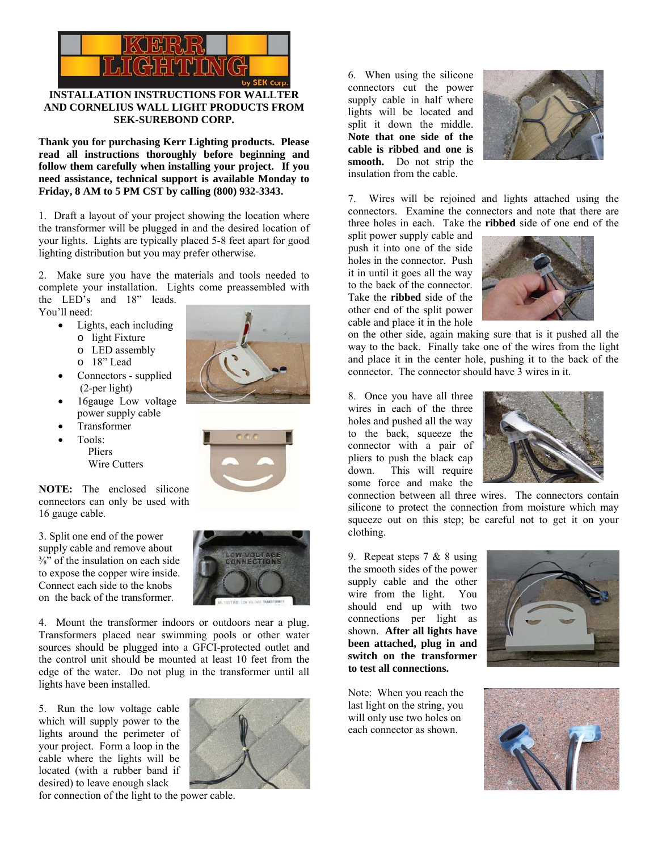

## **INSTALLATION INSTRUCTIONS FOR WALLTER AND CORNELIUS WALL LIGHT PRODUCTS FROM SEK-SUREBOND CORP.**

**Thank you for purchasing Kerr Lighting products. Please read all instructions thoroughly before beginning and follow them carefully when installing your project. If you need assistance, technical support is available Monday to Friday, 8 AM to 5 PM CST by calling (800) 932-3343.** 

1. Draft a layout of your project showing the location where the transformer will be plugged in and the desired location of your lights. Lights are typically placed 5-8 feet apart for good lighting distribution but you may prefer otherwise.

2. Make sure you have the materials and tools needed to complete your installation. Lights come preassembled with the LED's and 18" leads.

You'll need:

- Lights, each including
	- o light Fixture
	- o LED assembly
	- o 18" Lead
- Connectors supplied (2-per light)
- 16gauge Low voltage power supply cable
- Transformer
- Tools: Pliers
	- Wire Cutters

**NOTE:** The enclosed silicone connectors can only be used with 16 gauge cable.

3. Split one end of the power supply cable and remove about ⅜" of the insulation on each side to expose the copper wire inside. Connect each side to the knobs on the back of the transformer.





4. Mount the transformer indoors or outdoors near a plug. Transformers placed near swimming pools or other water sources should be plugged into a GFCI-protected outlet and the control unit should be mounted at least 10 feet from the edge of the water. Do not plug in the transformer until all lights have been installed.

5. Run the low voltage cable which will supply power to the lights around the perimeter of your project. Form a loop in the cable where the lights will be located (with a rubber band if desired) to leave enough slack



for connection of the light to the power cable.

6. When using the silicone connectors cut the power supply cable in half where lights will be located and split it down the middle. **Note that one side of the cable is ribbed and one is smooth.** Do not strip the insulation from the cable.



7. Wires will be rejoined and lights attached using the connectors. Examine the connectors and note that there are three holes in each. Take the **ribbed** side of one end of the

split power supply cable and push it into one of the side holes in the connector. Push it in until it goes all the way to the back of the connector. Take the **ribbed** side of the other end of the split power cable and place it in the hole



on the other side, again making sure that is it pushed all the way to the back. Finally take one of the wires from the light and place it in the center hole, pushing it to the back of the connector. The connector should have 3 wires in it.

8. Once you have all three wires in each of the three holes and pushed all the way to the back, squeeze the connector with a pair of pliers to push the black cap down. This will require some force and make the



connection between all three wires. The connectors contain silicone to protect the connection from moisture which may squeeze out on this step; be careful not to get it on your clothing.

9. Repeat steps 7 & 8 using the smooth sides of the power supply cable and the other wire from the light. You should end up with two connections per light as shown. **After all lights have been attached, plug in and switch on the transformer to test all connections.** 

Note: When you reach the last light on the string, you will only use two holes on each connector as shown.